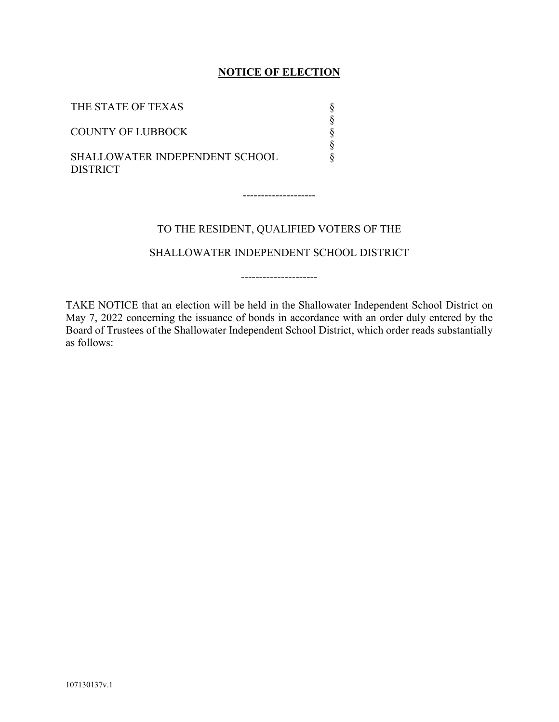## **NOTICE OF ELECTION**

| THE STATE OF TEXAS                                       |  |
|----------------------------------------------------------|--|
| <b>COUNTY OF LUBBOCK</b>                                 |  |
| <b>SHALLOWATER INDEPENDENT SCHOOL</b><br><b>DISTRICT</b> |  |

## TO THE RESIDENT, QUALIFIED VOTERS OF THE

--------------------

SHALLOWATER INDEPENDENT SCHOOL DISTRICT

---------------------

TAKE NOTICE that an election will be held in the Shallowater Independent School District on May 7, 2022 concerning the issuance of bonds in accordance with an order duly entered by the Board of Trustees of the Shallowater Independent School District, which order reads substantially as follows: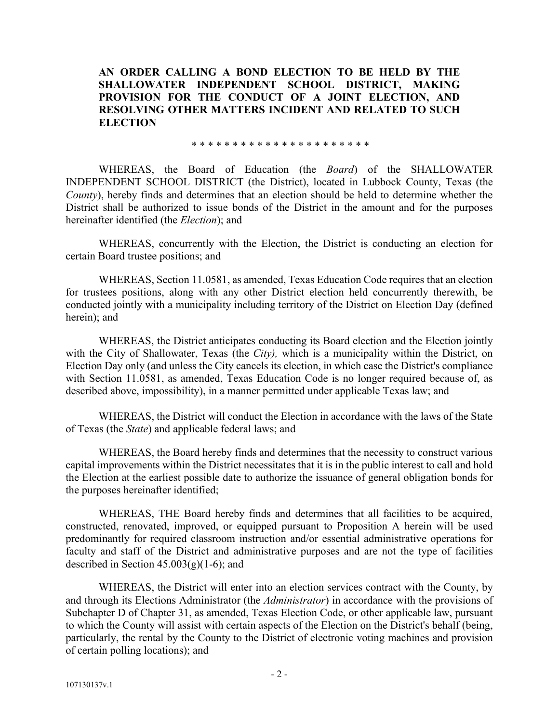**AN ORDER CALLING A BOND ELECTION TO BE HELD BY THE SHALLOWATER INDEPENDENT SCHOOL DISTRICT, MAKING PROVISION FOR THE CONDUCT OF A JOINT ELECTION, AND RESOLVING OTHER MATTERS INCIDENT AND RELATED TO SUCH ELECTION**

\* \* \* \* \* \* \* \* \* \* \* \* \* \* \* \* \* \* \* \* \* \*

WHEREAS, the Board of Education (the *Board*) of the SHALLOWATER INDEPENDENT SCHOOL DISTRICT (the District), located in Lubbock County, Texas (the *County*), hereby finds and determines that an election should be held to determine whether the District shall be authorized to issue bonds of the District in the amount and for the purposes hereinafter identified (the *Election*); and

WHEREAS, concurrently with the Election, the District is conducting an election for certain Board trustee positions; and

WHEREAS, Section 11.0581, as amended, Texas Education Code requires that an election for trustees positions, along with any other District election held concurrently therewith, be conducted jointly with a municipality including territory of the District on Election Day (defined herein); and

WHEREAS, the District anticipates conducting its Board election and the Election jointly with the City of Shallowater, Texas (the *City),* which is a municipality within the District, on Election Day only (and unless the City cancels its election, in which case the District's compliance with Section 11.0581, as amended, Texas Education Code is no longer required because of, as described above, impossibility), in a manner permitted under applicable Texas law; and

WHEREAS, the District will conduct the Election in accordance with the laws of the State of Texas (the *State*) and applicable federal laws; and

WHEREAS, the Board hereby finds and determines that the necessity to construct various capital improvements within the District necessitates that it is in the public interest to call and hold the Election at the earliest possible date to authorize the issuance of general obligation bonds for the purposes hereinafter identified;

WHEREAS, THE Board hereby finds and determines that all facilities to be acquired, constructed, renovated, improved, or equipped pursuant to Proposition A herein will be used predominantly for required classroom instruction and/or essential administrative operations for faculty and staff of the District and administrative purposes and are not the type of facilities described in Section  $45.003(g)(1-6)$ ; and

WHEREAS, the District will enter into an election services contract with the County, by and through its Elections Administrator (the *Administrator*) in accordance with the provisions of Subchapter D of Chapter 31, as amended, Texas Election Code, or other applicable law, pursuant to which the County will assist with certain aspects of the Election on the District's behalf (being, particularly, the rental by the County to the District of electronic voting machines and provision of certain polling locations); and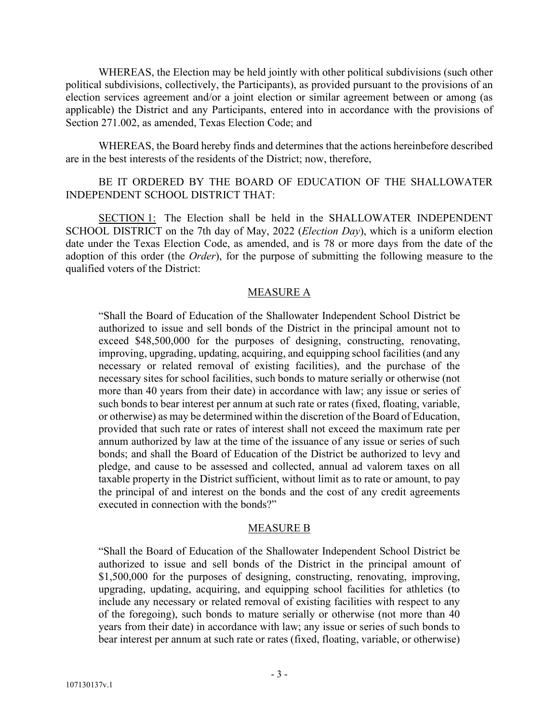WHEREAS, the Election may be held jointly with other political subdivisions (such other political subdivisions, collectively, the Participants), as provided pursuant to the provisions of an election services agreement and/or a joint election or similar agreement between or among (as applicable) the District and any Participants, entered into in accordance with the provisions of Section 271.002, as amended, Texas Election Code; and

WHEREAS, the Board hereby finds and determines that the actions hereinbefore described are in the best interests of the residents of the District; now, therefore,

## BE IT ORDERED BY THE BOARD OF EDUCATION OF THE SHALLOWATER INDEPENDENT SCHOOL DISTRICT THAT:

SECTION 1: The Election shall be held in the SHALLOWATER INDEPENDENT SCHOOL DISTRICT on the 7th day of May, 2022 (*Election Day*), which is a uniform election date under the Texas Election Code, as amended, and is 78 or more days from the date of the adoption of this order (the *Order*), for the purpose of submitting the following measure to the qualified voters of the District:

## MEASURE A

"Shall the Board of Education of the Shallowater Independent School District be authorized to issue and sell bonds of the District in the principal amount not to exceed \$48,500,000 for the purposes of designing, constructing, renovating, improving, upgrading, updating, acquiring, and equipping school facilities (and any necessary or related removal of existing facilities), and the purchase of the necessary sites for school facilities, such bonds to mature serially or otherwise (not more than 40 years from their date) in accordance with law; any issue or series of such bonds to bear interest per annum at such rate or rates (fixed, floating, variable, or otherwise) as may be determined within the discretion of the Board of Education, provided that such rate or rates of interest shall not exceed the maximum rate per annum authorized by law at the time of the issuance of any issue or series of such bonds; and shall the Board of Education of the District be authorized to levy and pledge, and cause to be assessed and collected, annual ad valorem taxes on all taxable property in the District sufficient, without limit as to rate or amount, to pay the principal of and interest on the bonds and the cost of any credit agreements executed in connection with the bonds?"

## MEASURE B

"Shall the Board of Education of the Shallowater Independent School District be authorized to issue and sell bonds of the District in the principal amount of \$1,500,000 for the purposes of designing, constructing, renovating, improving, upgrading, updating, acquiring, and equipping school facilities for athletics (to include any necessary or related removal of existing facilities with respect to any of the foregoing), such bonds to mature serially or otherwise (not more than 40 years from their date) in accordance with law; any issue or series of such bonds to bear interest per annum at such rate or rates (fixed, floating, variable, or otherwise)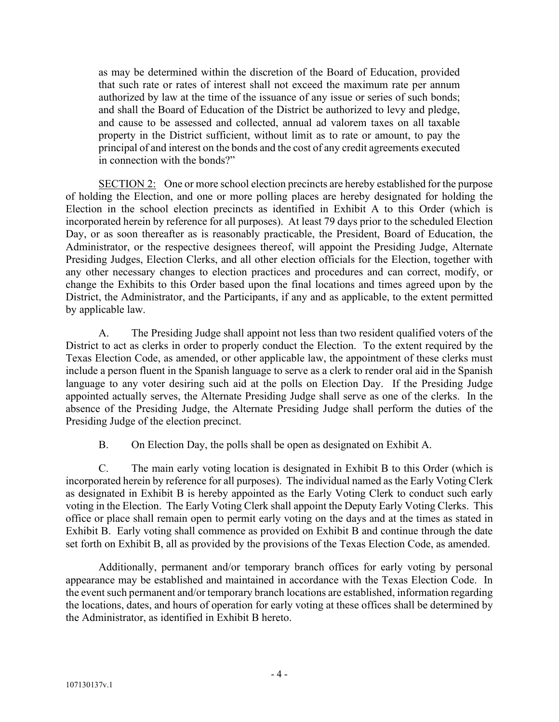as may be determined within the discretion of the Board of Education, provided that such rate or rates of interest shall not exceed the maximum rate per annum authorized by law at the time of the issuance of any issue or series of such bonds; and shall the Board of Education of the District be authorized to levy and pledge, and cause to be assessed and collected, annual ad valorem taxes on all taxable property in the District sufficient, without limit as to rate or amount, to pay the principal of and interest on the bonds and the cost of any credit agreements executed in connection with the bonds?"

SECTION 2: One or more school election precincts are hereby established for the purpose of holding the Election, and one or more polling places are hereby designated for holding the Election in the school election precincts as identified in Exhibit A to this Order (which is incorporated herein by reference for all purposes). At least 79 days prior to the scheduled Election Day, or as soon thereafter as is reasonably practicable, the President, Board of Education, the Administrator, or the respective designees thereof, will appoint the Presiding Judge, Alternate Presiding Judges, Election Clerks, and all other election officials for the Election, together with any other necessary changes to election practices and procedures and can correct, modify, or change the Exhibits to this Order based upon the final locations and times agreed upon by the District, the Administrator, and the Participants, if any and as applicable, to the extent permitted by applicable law.

A. The Presiding Judge shall appoint not less than two resident qualified voters of the District to act as clerks in order to properly conduct the Election. To the extent required by the Texas Election Code, as amended, or other applicable law, the appointment of these clerks must include a person fluent in the Spanish language to serve as a clerk to render oral aid in the Spanish language to any voter desiring such aid at the polls on Election Day. If the Presiding Judge appointed actually serves, the Alternate Presiding Judge shall serve as one of the clerks. In the absence of the Presiding Judge, the Alternate Presiding Judge shall perform the duties of the Presiding Judge of the election precinct.

B. On Election Day, the polls shall be open as designated on Exhibit A.

C. The main early voting location is designated in Exhibit B to this Order (which is incorporated herein by reference for all purposes). The individual named as the Early Voting Clerk as designated in Exhibit B is hereby appointed as the Early Voting Clerk to conduct such early voting in the Election. The Early Voting Clerk shall appoint the Deputy Early Voting Clerks. This office or place shall remain open to permit early voting on the days and at the times as stated in Exhibit B. Early voting shall commence as provided on Exhibit B and continue through the date set forth on Exhibit B, all as provided by the provisions of the Texas Election Code, as amended.

Additionally, permanent and/or temporary branch offices for early voting by personal appearance may be established and maintained in accordance with the Texas Election Code. In the event such permanent and/or temporary branch locations are established, information regarding the locations, dates, and hours of operation for early voting at these offices shall be determined by the Administrator, as identified in Exhibit B hereto.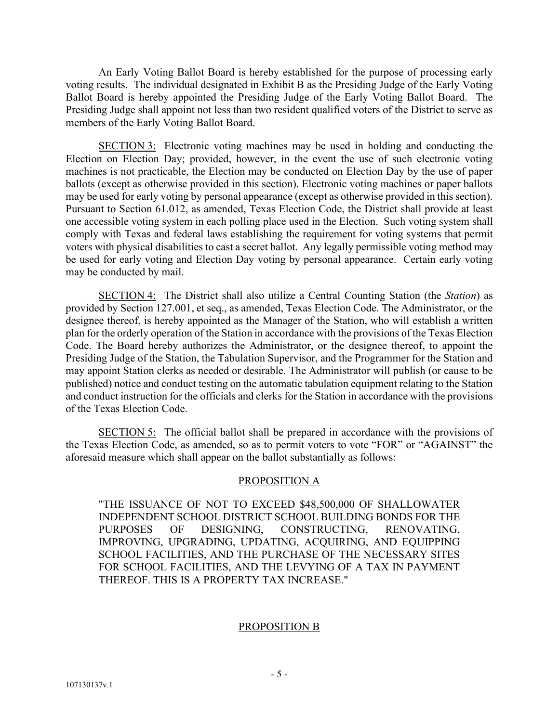An Early Voting Ballot Board is hereby established for the purpose of processing early voting results. The individual designated in Exhibit B as the Presiding Judge of the Early Voting Ballot Board is hereby appointed the Presiding Judge of the Early Voting Ballot Board. The Presiding Judge shall appoint not less than two resident qualified voters of the District to serve as members of the Early Voting Ballot Board.

SECTION 3: Electronic voting machines may be used in holding and conducting the Election on Election Day; provided, however, in the event the use of such electronic voting machines is not practicable, the Election may be conducted on Election Day by the use of paper ballots (except as otherwise provided in this section). Electronic voting machines or paper ballots may be used for early voting by personal appearance (except as otherwise provided in this section). Pursuant to Section 61.012, as amended, Texas Election Code, the District shall provide at least one accessible voting system in each polling place used in the Election. Such voting system shall comply with Texas and federal laws establishing the requirement for voting systems that permit voters with physical disabilities to cast a secret ballot. Any legally permissible voting method may be used for early voting and Election Day voting by personal appearance. Certain early voting may be conducted by mail.

SECTION 4: The District shall also utilize a Central Counting Station (the *Station*) as provided by Section 127.001, et seq., as amended, Texas Election Code. The Administrator, or the designee thereof, is hereby appointed as the Manager of the Station, who will establish a written plan for the orderly operation of the Station in accordance with the provisions of the Texas Election Code. The Board hereby authorizes the Administrator, or the designee thereof, to appoint the Presiding Judge of the Station, the Tabulation Supervisor, and the Programmer for the Station and may appoint Station clerks as needed or desirable. The Administrator will publish (or cause to be published) notice and conduct testing on the automatic tabulation equipment relating to the Station and conduct instruction for the officials and clerks for the Station in accordance with the provisions of the Texas Election Code.

SECTION 5: The official ballot shall be prepared in accordance with the provisions of the Texas Election Code, as amended, so as to permit voters to vote "FOR" or "AGAINST" the aforesaid measure which shall appear on the ballot substantially as follows:

## PROPOSITION A

"THE ISSUANCE OF NOT TO EXCEED \$48,500,000 OF SHALLOWATER INDEPENDENT SCHOOL DISTRICT SCHOOL BUILDING BONDS FOR THE PURPOSES OF DESIGNING, CONSTRUCTING, RENOVATING, IMPROVING, UPGRADING, UPDATING, ACQUIRING, AND EQUIPPING SCHOOL FACILITIES, AND THE PURCHASE OF THE NECESSARY SITES FOR SCHOOL FACILITIES, AND THE LEVYING OF A TAX IN PAYMENT THEREOF. THIS IS A PROPERTY TAX INCREASE."

## PROPOSITION B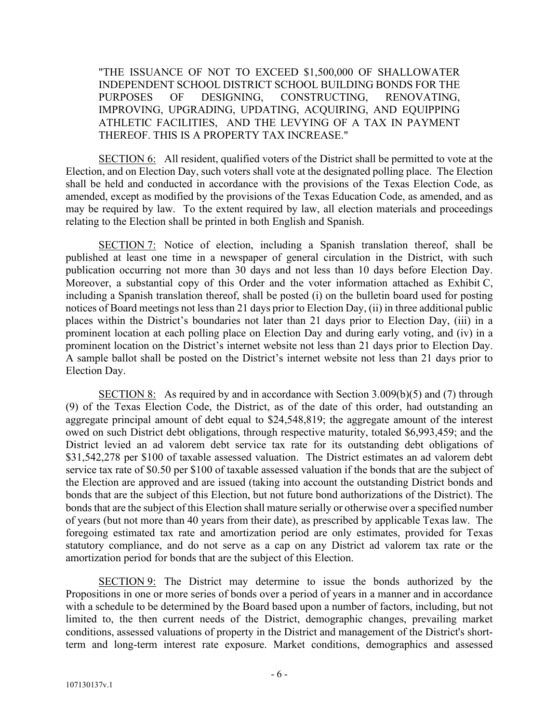"THE ISSUANCE OF NOT TO EXCEED \$1,500,000 OF SHALLOWATER INDEPENDENT SCHOOL DISTRICT SCHOOL BUILDING BONDS FOR THE PURPOSES OF DESIGNING, CONSTRUCTING, RENOVATING, IMPROVING, UPGRADING, UPDATING, ACQUIRING, AND EQUIPPING ATHLETIC FACILITIES, AND THE LEVYING OF A TAX IN PAYMENT THEREOF. THIS IS A PROPERTY TAX INCREASE."

SECTION 6: All resident, qualified voters of the District shall be permitted to vote at the Election, and on Election Day, such voters shall vote at the designated polling place. The Election shall be held and conducted in accordance with the provisions of the Texas Election Code, as amended, except as modified by the provisions of the Texas Education Code, as amended, and as may be required by law. To the extent required by law, all election materials and proceedings relating to the Election shall be printed in both English and Spanish.

SECTION 7: Notice of election, including a Spanish translation thereof, shall be published at least one time in a newspaper of general circulation in the District, with such publication occurring not more than 30 days and not less than 10 days before Election Day. Moreover, a substantial copy of this Order and the voter information attached as Exhibit C, including a Spanish translation thereof, shall be posted (i) on the bulletin board used for posting notices of Board meetings not less than 21 days prior to Election Day, (ii) in three additional public places within the District's boundaries not later than 21 days prior to Election Day, (iii) in a prominent location at each polling place on Election Day and during early voting, and (iv) in a prominent location on the District's internet website not less than 21 days prior to Election Day. A sample ballot shall be posted on the District's internet website not less than 21 days prior to Election Day.

SECTION 8: As required by and in accordance with Section 3.009(b)(5) and (7) through (9) of the Texas Election Code, the District, as of the date of this order, had outstanding an aggregate principal amount of debt equal to \$24,548,819; the aggregate amount of the interest owed on such District debt obligations, through respective maturity, totaled \$6,993,459; and the District levied an ad valorem debt service tax rate for its outstanding debt obligations of \$31,542,278 per \$100 of taxable assessed valuation. The District estimates an ad valorem debt service tax rate of \$0.50 per \$100 of taxable assessed valuation if the bonds that are the subject of the Election are approved and are issued (taking into account the outstanding District bonds and bonds that are the subject of this Election, but not future bond authorizations of the District). The bonds that are the subject of this Election shall mature serially or otherwise over a specified number of years (but not more than 40 years from their date), as prescribed by applicable Texas law. The foregoing estimated tax rate and amortization period are only estimates, provided for Texas statutory compliance, and do not serve as a cap on any District ad valorem tax rate or the amortization period for bonds that are the subject of this Election.

SECTION 9: The District may determine to issue the bonds authorized by the Propositions in one or more series of bonds over a period of years in a manner and in accordance with a schedule to be determined by the Board based upon a number of factors, including, but not limited to, the then current needs of the District, demographic changes, prevailing market conditions, assessed valuations of property in the District and management of the District's shortterm and long-term interest rate exposure. Market conditions, demographics and assessed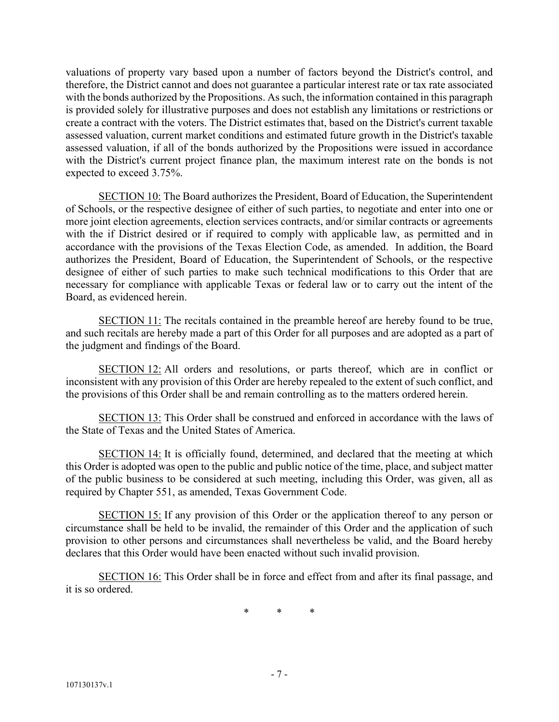valuations of property vary based upon a number of factors beyond the District's control, and therefore, the District cannot and does not guarantee a particular interest rate or tax rate associated with the bonds authorized by the Propositions. As such, the information contained in this paragraph is provided solely for illustrative purposes and does not establish any limitations or restrictions or create a contract with the voters. The District estimates that, based on the District's current taxable assessed valuation, current market conditions and estimated future growth in the District's taxable assessed valuation, if all of the bonds authorized by the Propositions were issued in accordance with the District's current project finance plan, the maximum interest rate on the bonds is not expected to exceed 3.75%.

SECTION 10: The Board authorizes the President, Board of Education, the Superintendent of Schools, or the respective designee of either of such parties, to negotiate and enter into one or more joint election agreements, election services contracts, and/or similar contracts or agreements with the if District desired or if required to comply with applicable law, as permitted and in accordance with the provisions of the Texas Election Code, as amended. In addition, the Board authorizes the President, Board of Education, the Superintendent of Schools, or the respective designee of either of such parties to make such technical modifications to this Order that are necessary for compliance with applicable Texas or federal law or to carry out the intent of the Board, as evidenced herein.

SECTION 11: The recitals contained in the preamble hereof are hereby found to be true, and such recitals are hereby made a part of this Order for all purposes and are adopted as a part of the judgment and findings of the Board.

SECTION 12: All orders and resolutions, or parts thereof, which are in conflict or inconsistent with any provision of this Order are hereby repealed to the extent of such conflict, and the provisions of this Order shall be and remain controlling as to the matters ordered herein.

SECTION 13: This Order shall be construed and enforced in accordance with the laws of the State of Texas and the United States of America.

SECTION 14: It is officially found, determined, and declared that the meeting at which this Order is adopted was open to the public and public notice of the time, place, and subject matter of the public business to be considered at such meeting, including this Order, was given, all as required by Chapter 551, as amended, Texas Government Code.

SECTION 15: If any provision of this Order or the application thereof to any person or circumstance shall be held to be invalid, the remainder of this Order and the application of such provision to other persons and circumstances shall nevertheless be valid, and the Board hereby declares that this Order would have been enacted without such invalid provision.

SECTION 16: This Order shall be in force and effect from and after its final passage, and it is so ordered.

\* \* \*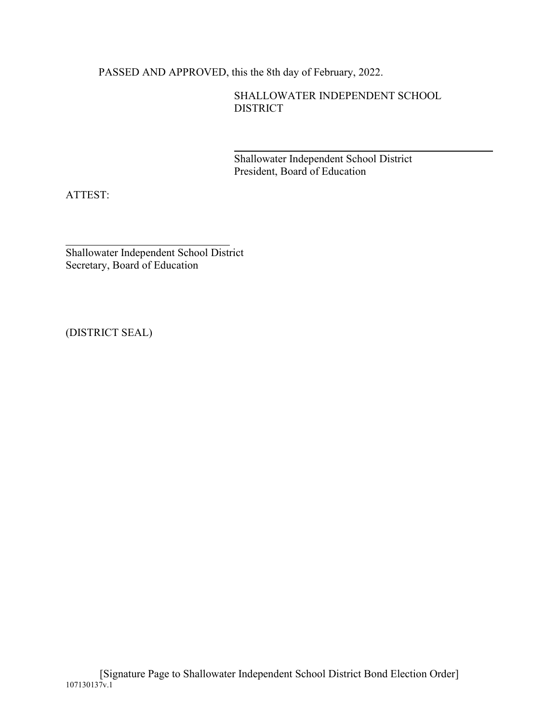PASSED AND APPROVED, this the 8th day of February, 2022.

SHALLOWATER INDEPENDENT SCHOOL DISTRICT

Shallowater Independent School District President, Board of Education

ATTEST:

Shallowater Independent School District Secretary, Board of Education

(DISTRICT SEAL)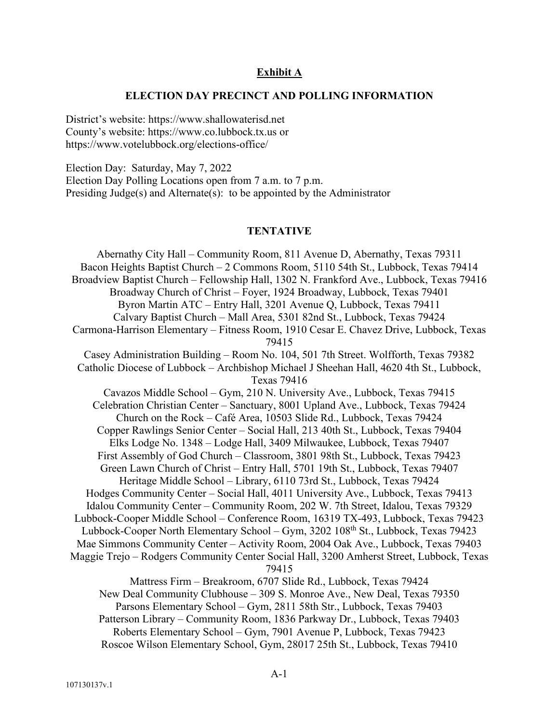### **Exhibit A**

#### **ELECTION DAY PRECINCT AND POLLING INFORMATION**

District's website: https://www.shallowaterisd.net County's website: https://www.co.lubbock.tx.us or https://www.votelubbock.org/elections-office/

Election Day: Saturday, May 7, 2022 Election Day Polling Locations open from 7 a.m. to 7 p.m. Presiding Judge(s) and Alternate(s): to be appointed by the Administrator

#### **TENTATIVE**

Abernathy City Hall – Community Room, 811 Avenue D, Abernathy, Texas 79311 Bacon Heights Baptist Church – 2 Commons Room, 5110 54th St., Lubbock, Texas 79414 Broadview Baptist Church – Fellowship Hall, 1302 N. Frankford Ave., Lubbock, Texas 79416 Broadway Church of Christ – Foyer, 1924 Broadway, Lubbock, Texas 79401 Byron Martin ATC – Entry Hall, 3201 Avenue Q, Lubbock, Texas 79411 Calvary Baptist Church – Mall Area, 5301 82nd St., Lubbock, Texas 79424 Carmona-Harrison Elementary – Fitness Room, 1910 Cesar E. Chavez Drive, Lubbock, Texas 79415 Casey Administration Building – Room No. 104, 501 7th Street. Wolfforth, Texas 79382 Catholic Diocese of Lubbock – Archbishop Michael J Sheehan Hall, 4620 4th St., Lubbock, Texas 79416 Cavazos Middle School – Gym, 210 N. University Ave., Lubbock, Texas 79415 Celebration Christian Center – Sanctuary, 8001 Upland Ave., Lubbock, Texas 79424 Church on the Rock – Café Area, 10503 Slide Rd., Lubbock, Texas 79424 Copper Rawlings Senior Center – Social Hall, 213 40th St., Lubbock, Texas 79404 Elks Lodge No. 1348 – Lodge Hall, 3409 Milwaukee, Lubbock, Texas 79407 First Assembly of God Church – Classroom, 3801 98th St., Lubbock, Texas 79423 Green Lawn Church of Christ – Entry Hall, 5701 19th St., Lubbock, Texas 79407 Heritage Middle School – Library, 6110 73rd St., Lubbock, Texas 79424 Hodges Community Center – Social Hall, 4011 University Ave., Lubbock, Texas 79413 Idalou Community Center – Community Room, 202 W. 7th Street, Idalou, Texas 79329 Lubbock-Cooper Middle School – Conference Room, 16319 TX-493, Lubbock, Texas 79423 Lubbock-Cooper North Elementary School – Gym, 3202 108<sup>th</sup> St., Lubbock, Texas 79423 Mae Simmons Community Center – Activity Room, 2004 Oak Ave., Lubbock, Texas 79403 Maggie Trejo – Rodgers Community Center Social Hall, 3200 Amherst Street, Lubbock, Texas 79415 Mattress Firm – Breakroom, 6707 Slide Rd., Lubbock, Texas 79424 New Deal Community Clubhouse – 309 S. Monroe Ave., New Deal, Texas 79350 Parsons Elementary School – Gym, 2811 58th Str., Lubbock, Texas 79403 Patterson Library – Community Room, 1836 Parkway Dr., Lubbock, Texas 79403 Roberts Elementary School – Gym, 7901 Avenue P, Lubbock, Texas 79423

Roscoe Wilson Elementary School, Gym, 28017 25th St., Lubbock, Texas 79410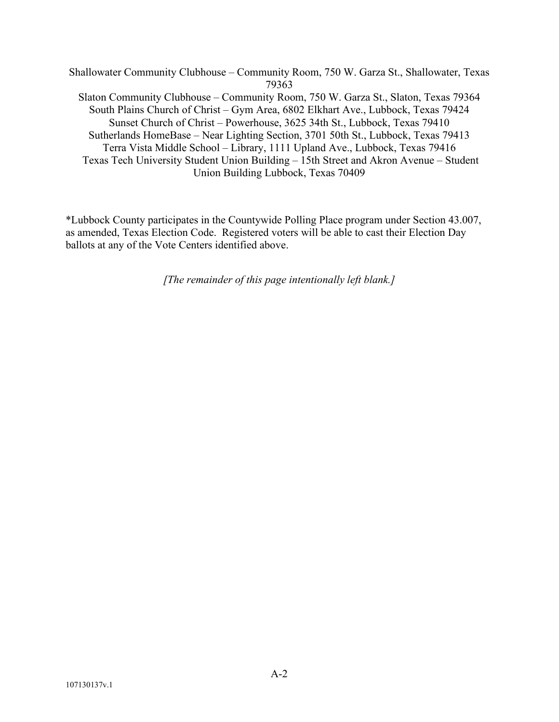Shallowater Community Clubhouse – Community Room, 750 W. Garza St., Shallowater, Texas 79363 Slaton Community Clubhouse – Community Room, 750 W. Garza St., Slaton, Texas 79364 South Plains Church of Christ – Gym Area, 6802 Elkhart Ave., Lubbock, Texas 79424 Sunset Church of Christ – Powerhouse, 3625 34th St., Lubbock, Texas 79410 Sutherlands HomeBase – Near Lighting Section, 3701 50th St., Lubbock, Texas 79413 Terra Vista Middle School – Library, 1111 Upland Ave., Lubbock, Texas 79416 Texas Tech University Student Union Building – 15th Street and Akron Avenue – Student Union Building Lubbock, Texas 70409

\*Lubbock County participates in the Countywide Polling Place program under Section 43.007, as amended, Texas Election Code. Registered voters will be able to cast their Election Day ballots at any of the Vote Centers identified above.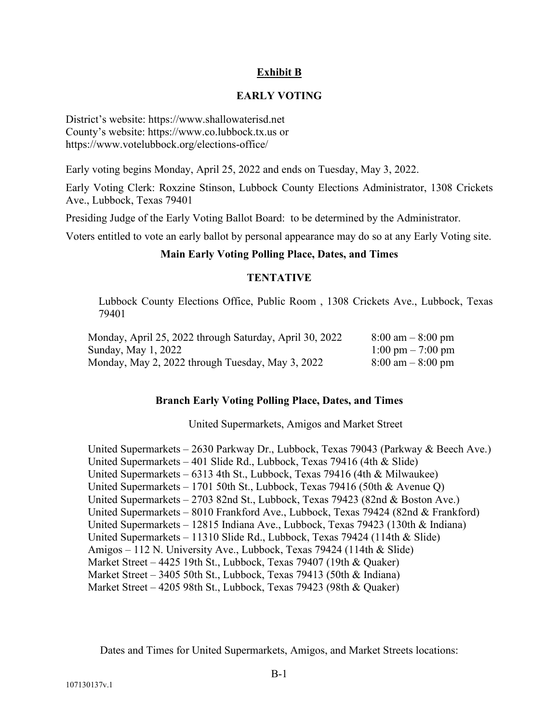## **Exhibit B**

## **EARLY VOTING**

District's website: https://www.shallowaterisd.net County's website: https://www.co.lubbock.tx.us or https://www.votelubbock.org/elections-office/

Early voting begins Monday, April 25, 2022 and ends on Tuesday, May 3, 2022.

Early Voting Clerk: Roxzine Stinson, Lubbock County Elections Administrator, 1308 Crickets Ave., Lubbock, Texas 79401

Presiding Judge of the Early Voting Ballot Board: to be determined by the Administrator.

Voters entitled to vote an early ballot by personal appearance may do so at any Early Voting site.

## **Main Early Voting Polling Place, Dates, and Times**

## **TENTATIVE**

Lubbock County Elections Office, Public Room , 1308 Crickets Ave., Lubbock, Texas 79401

| Monday, April 25, 2022 through Saturday, April 30, 2022 | $8:00 \text{ am} - 8:00 \text{ pm}$ |
|---------------------------------------------------------|-------------------------------------|
| Sunday, May 1, 2022                                     | $1:00 \text{ pm} - 7:00 \text{ pm}$ |
| Monday, May 2, 2022 through Tuesday, May 3, 2022        | $8:00 \text{ am} - 8:00 \text{ pm}$ |

## **Branch Early Voting Polling Place, Dates, and Times**

United Supermarkets, Amigos and Market Street

United Supermarkets – 2630 Parkway Dr., Lubbock, Texas 79043 (Parkway & Beech Ave.) United Supermarkets – 401 Slide Rd., Lubbock, Texas 79416 (4th & Slide) United Supermarkets – 6313 4th St., Lubbock, Texas 79416 (4th & Milwaukee) United Supermarkets – 1701 50th St., Lubbock, Texas 79416 (50th & Avenue Q) United Supermarkets – 2703 82nd St., Lubbock, Texas 79423 (82nd & Boston Ave.) United Supermarkets – 8010 Frankford Ave., Lubbock, Texas 79424 (82nd & Frankford) United Supermarkets – 12815 Indiana Ave., Lubbock, Texas 79423 (130th & Indiana) United Supermarkets – 11310 Slide Rd., Lubbock, Texas 79424 (114th & Slide) Amigos – 112 N. University Ave., Lubbock, Texas 79424 (114th & Slide) Market Street – 4425 19th St., Lubbock, Texas 79407 (19th & Quaker) Market Street – 3405 50th St., Lubbock, Texas 79413 (50th & Indiana) Market Street – 4205 98th St., Lubbock, Texas 79423 (98th & Quaker)

Dates and Times for United Supermarkets, Amigos, and Market Streets locations: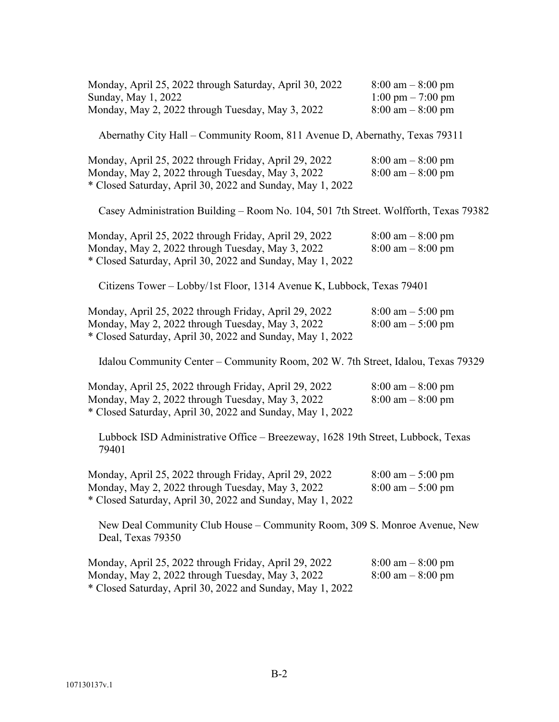| Monday, April 25, 2022 through Saturday, April 30, 2022<br>Sunday, May 1, 2022<br>Monday, May 2, 2022 through Tuesday, May 3, 2022                                     | $8:00 \text{ am} - 8:00 \text{ pm}$<br>$1:00 \text{ pm} - 7:00 \text{ pm}$<br>$8:00 \text{ am} - 8:00 \text{ pm}$ |  |
|------------------------------------------------------------------------------------------------------------------------------------------------------------------------|-------------------------------------------------------------------------------------------------------------------|--|
| Abernathy City Hall – Community Room, 811 Avenue D, Abernathy, Texas 79311                                                                                             |                                                                                                                   |  |
| Monday, April 25, 2022 through Friday, April 29, 2022<br>Monday, May 2, 2022 through Tuesday, May 3, 2022<br>* Closed Saturday, April 30, 2022 and Sunday, May 1, 2022 | $8:00 \text{ am} - 8:00 \text{ pm}$<br>$8:00 \text{ am} - 8:00 \text{ pm}$                                        |  |
| Casey Administration Building - Room No. 104, 501 7th Street. Wolfforth, Texas 79382                                                                                   |                                                                                                                   |  |
| Monday, April 25, 2022 through Friday, April 29, 2022<br>Monday, May 2, 2022 through Tuesday, May 3, 2022<br>* Closed Saturday, April 30, 2022 and Sunday, May 1, 2022 | $8:00 \text{ am} - 8:00 \text{ pm}$<br>$8:00 \text{ am} - 8:00 \text{ pm}$                                        |  |
| Citizens Tower - Lobby/1st Floor, 1314 Avenue K, Lubbock, Texas 79401                                                                                                  |                                                                                                                   |  |
| Monday, April 25, 2022 through Friday, April 29, 2022<br>Monday, May 2, 2022 through Tuesday, May 3, 2022<br>* Closed Saturday, April 30, 2022 and Sunday, May 1, 2022 | $8:00 \text{ am} - 5:00 \text{ pm}$<br>$8:00 \text{ am} - 5:00 \text{ pm}$                                        |  |
| Idalou Community Center – Community Room, 202 W. 7th Street, Idalou, Texas 79329                                                                                       |                                                                                                                   |  |
| Monday, April 25, 2022 through Friday, April 29, 2022<br>Monday, May 2, 2022 through Tuesday, May 3, 2022<br>* Closed Saturday, April 30, 2022 and Sunday, May 1, 2022 | $8:00 \text{ am} - 8:00 \text{ pm}$<br>$8:00 \text{ am} - 8:00 \text{ pm}$                                        |  |
| Lubbock ISD Administrative Office - Breezeway, 1628 19th Street, Lubbock, Texas<br>79401                                                                               |                                                                                                                   |  |
| Monday, April 25, 2022 through Friday, April 29, 2022<br>Monday, May 2, 2022 through Tuesday, May 3, 2022<br>* Closed Saturday, April 30, 2022 and Sunday, May 1, 2022 | $8:00 \text{ am} - 5:00 \text{ pm}$<br>$8:00 \text{ am} - 5:00 \text{ pm}$                                        |  |
| New Deal Community Club House – Community Room, 309 S. Monroe Avenue, New<br>Deal, Texas 79350                                                                         |                                                                                                                   |  |
| Monday, April 25, 2022 through Friday, April 29, 2022<br>Monday, May 2, 2022 through Tuesday, May 3, 2022<br>* Closed Saturday, April 30, 2022 and Sunday, May 1, 2022 | $8:00 \text{ am} - 8:00 \text{ pm}$<br>$8:00 \text{ am} - 8:00 \text{ pm}$                                        |  |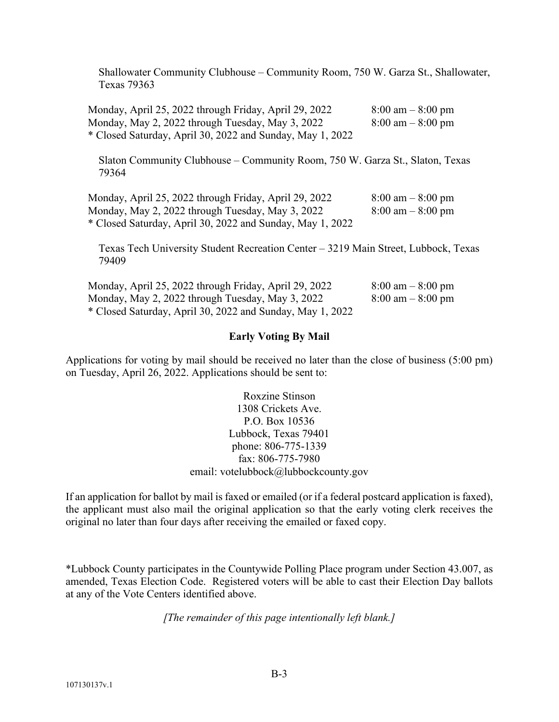Shallowater Community Clubhouse – Community Room, 750 W. Garza St., Shallowater, Texas 79363

Monday, April 25, 2022 through Friday, April 29, 2022 8:00 am - 8:00 pm Monday, May 2, 2022 through Tuesday, May 3, 2022  $8:00 \text{ am} - 8:00 \text{ pm}$ \* Closed Saturday, April 30, 2022 and Sunday, May 1, 2022

Slaton Community Clubhouse – Community Room, 750 W. Garza St., Slaton, Texas 79364

Monday, April 25, 2022 through Friday, April 29, 2022 8:00 am – 8:00 pm Monday, May 2, 2022 through Tuesday, May 3, 2022  $8:00 \text{ am} - 8:00 \text{ pm}$ \* Closed Saturday, April 30, 2022 and Sunday, May 1, 2022

Texas Tech University Student Recreation Center – 3219 Main Street, Lubbock, Texas 79409

| Monday, April 25, 2022 through Friday, April 29, 2022     | $8:00 \text{ am} - 8:00 \text{ pm}$ |
|-----------------------------------------------------------|-------------------------------------|
| Monday, May 2, 2022 through Tuesday, May 3, 2022          | $8:00 \text{ am} - 8:00 \text{ pm}$ |
| * Closed Saturday, April 30, 2022 and Sunday, May 1, 2022 |                                     |

## **Early Voting By Mail**

Applications for voting by mail should be received no later than the close of business (5:00 pm) on Tuesday, April 26, 2022. Applications should be sent to:

> Roxzine Stinson 1308 Crickets Ave. P.O. Box 10536 Lubbock, Texas 79401 phone: 806-775-1339 fax: 806-775-7980 email: votelubbock@lubbockcounty.gov

If an application for ballot by mail is faxed or emailed (or if a federal postcard application is faxed), the applicant must also mail the original application so that the early voting clerk receives the original no later than four days after receiving the emailed or faxed copy.

\*Lubbock County participates in the Countywide Polling Place program under Section 43.007, as amended, Texas Election Code. Registered voters will be able to cast their Election Day ballots at any of the Vote Centers identified above.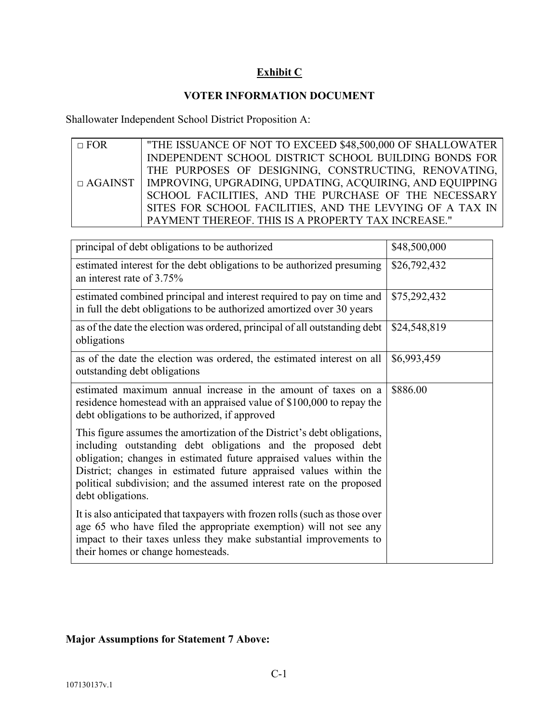# **Exhibit C**

# **VOTER INFORMATION DOCUMENT**

Shallowater Independent School District Proposition A:

| $\Box$ FOR     | "THE ISSUANCE OF NOT TO EXCEED \$48,500,000 OF SHALLOWATER |
|----------------|------------------------------------------------------------|
|                | INDEPENDENT SCHOOL DISTRICT SCHOOL BUILDING BONDS FOR      |
|                | THE PURPOSES OF DESIGNING, CONSTRUCTING, RENOVATING,       |
| $\Box$ AGAINST | IMPROVING, UPGRADING, UPDATING, ACQUIRING, AND EQUIPPING   |
|                | SCHOOL FACILITIES, AND THE PURCHASE OF THE NECESSARY       |
|                | SITES FOR SCHOOL FACILITIES, AND THE LEVYING OF A TAX IN   |
|                | PAYMENT THEREOF. THIS IS A PROPERTY TAX INCREASE."         |

| principal of debt obligations to be authorized                                                                                                                                                                                                                                                                                                                                    | \$48,500,000 |
|-----------------------------------------------------------------------------------------------------------------------------------------------------------------------------------------------------------------------------------------------------------------------------------------------------------------------------------------------------------------------------------|--------------|
| estimated interest for the debt obligations to be authorized presuming<br>an interest rate of 3.75%                                                                                                                                                                                                                                                                               | \$26,792,432 |
| estimated combined principal and interest required to pay on time and<br>in full the debt obligations to be authorized amortized over 30 years                                                                                                                                                                                                                                    | \$75,292,432 |
| as of the date the election was ordered, principal of all outstanding debt<br>obligations                                                                                                                                                                                                                                                                                         | \$24,548,819 |
| as of the date the election was ordered, the estimated interest on all<br>outstanding debt obligations                                                                                                                                                                                                                                                                            | \$6,993,459  |
| estimated maximum annual increase in the amount of taxes on a<br>residence homestead with an appraised value of \$100,000 to repay the<br>debt obligations to be authorized, if approved                                                                                                                                                                                          | \$886.00     |
| This figure assumes the amortization of the District's debt obligations,<br>including outstanding debt obligations and the proposed debt<br>obligation; changes in estimated future appraised values within the<br>District; changes in estimated future appraised values within the<br>political subdivision; and the assumed interest rate on the proposed<br>debt obligations. |              |
| It is also anticipated that taxpayers with frozen rolls (such as those over<br>age 65 who have filed the appropriate exemption) will not see any<br>impact to their taxes unless they make substantial improvements to<br>their homes or change homesteads.                                                                                                                       |              |

# **Major Assumptions for Statement 7 Above:**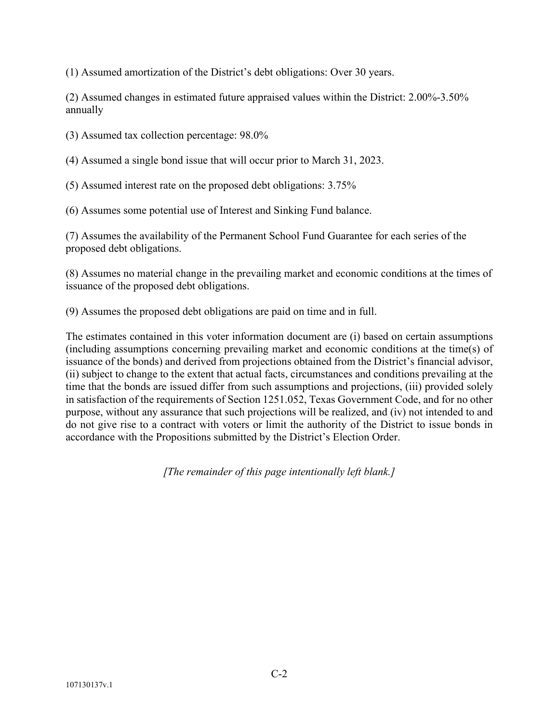(1) Assumed amortization of the District's debt obligations: Over 30 years.

(2) Assumed changes in estimated future appraised values within the District: 2.00%-3.50% annually

(3) Assumed tax collection percentage: 98.0%

(4) Assumed a single bond issue that will occur prior to March 31, 2023.

(5) Assumed interest rate on the proposed debt obligations: 3.75%

(6) Assumes some potential use of Interest and Sinking Fund balance.

(7) Assumes the availability of the Permanent School Fund Guarantee for each series of the proposed debt obligations.

(8) Assumes no material change in the prevailing market and economic conditions at the times of issuance of the proposed debt obligations.

(9) Assumes the proposed debt obligations are paid on time and in full.

The estimates contained in this voter information document are (i) based on certain assumptions (including assumptions concerning prevailing market and economic conditions at the time(s) of issuance of the bonds) and derived from projections obtained from the District's financial advisor, (ii) subject to change to the extent that actual facts, circumstances and conditions prevailing at the time that the bonds are issued differ from such assumptions and projections, (iii) provided solely in satisfaction of the requirements of Section 1251.052, Texas Government Code, and for no other purpose, without any assurance that such projections will be realized, and (iv) not intended to and do not give rise to a contract with voters or limit the authority of the District to issue bonds in accordance with the Propositions submitted by the District's Election Order.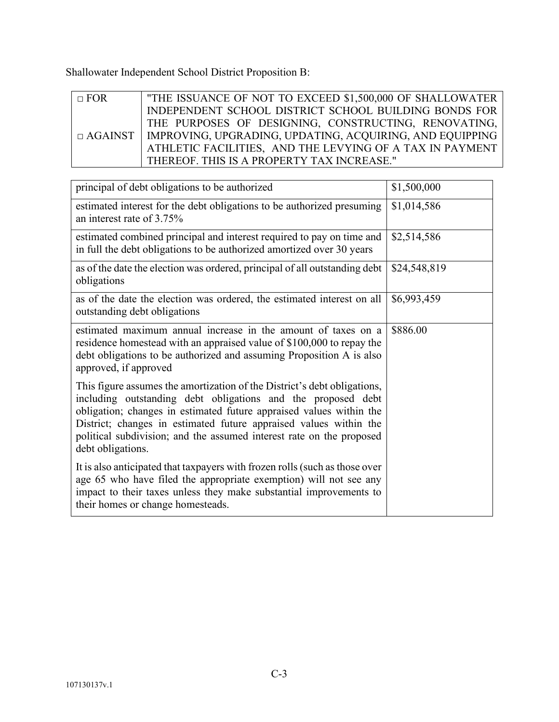Shallowater Independent School District Proposition B:

| $\Box$ FOR | "THE ISSUANCE OF NOT TO EXCEED \$1,500,000 OF SHALLOWATER                 |
|------------|---------------------------------------------------------------------------|
|            | INDEPENDENT SCHOOL DISTRICT SCHOOL BUILDING BONDS FOR                     |
|            | THE PURPOSES OF DESIGNING, CONSTRUCTING, RENOVATING,                      |
|            | $\Box$ AGAINST   IMPROVING, UPGRADING, UPDATING, ACQUIRING, AND EQUIPPING |
|            | ATHLETIC FACILITIES, AND THE LEVYING OF A TAX IN PAYMENT                  |
|            | THEREOF. THIS IS A PROPERTY TAX INCREASE."                                |

| principal of debt obligations to be authorized                                                                                                                                                                                                                                                                                                                                    | \$1,500,000  |
|-----------------------------------------------------------------------------------------------------------------------------------------------------------------------------------------------------------------------------------------------------------------------------------------------------------------------------------------------------------------------------------|--------------|
| estimated interest for the debt obligations to be authorized presuming<br>an interest rate of 3.75%                                                                                                                                                                                                                                                                               | \$1,014,586  |
| estimated combined principal and interest required to pay on time and<br>in full the debt obligations to be authorized amortized over 30 years                                                                                                                                                                                                                                    | \$2,514,586  |
| as of the date the election was ordered, principal of all outstanding debt<br>obligations                                                                                                                                                                                                                                                                                         | \$24,548,819 |
| as of the date the election was ordered, the estimated interest on all<br>outstanding debt obligations                                                                                                                                                                                                                                                                            | \$6,993,459  |
| estimated maximum annual increase in the amount of taxes on a<br>residence homestead with an appraised value of \$100,000 to repay the<br>debt obligations to be authorized and assuming Proposition A is also<br>approved, if approved                                                                                                                                           | \$886.00     |
| This figure assumes the amortization of the District's debt obligations,<br>including outstanding debt obligations and the proposed debt<br>obligation; changes in estimated future appraised values within the<br>District; changes in estimated future appraised values within the<br>political subdivision; and the assumed interest rate on the proposed<br>debt obligations. |              |
| It is also anticipated that taxpayers with frozen rolls (such as those over<br>age 65 who have filed the appropriate exemption) will not see any<br>impact to their taxes unless they make substantial improvements to<br>their homes or change homesteads.                                                                                                                       |              |